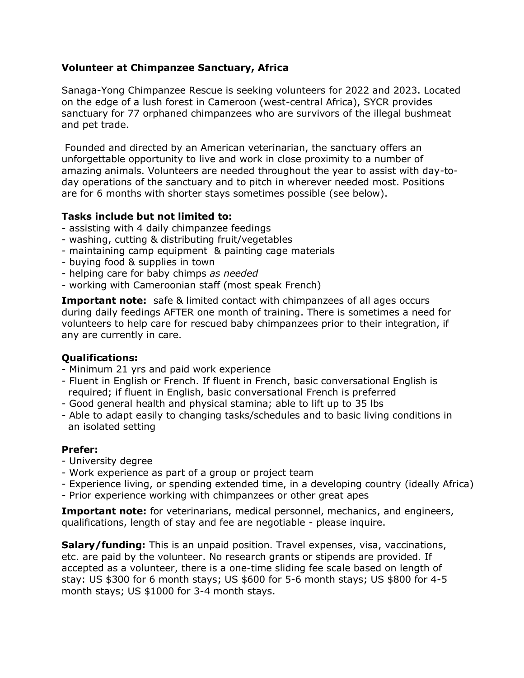## **Volunteer at Chimpanzee Sanctuary, Africa**

Sanaga-Yong Chimpanzee Rescue is seeking volunteers for 2022 and 2023. Located on the edge of a lush forest in Cameroon (west-central Africa), SYCR provides sanctuary for 77 orphaned chimpanzees who are survivors of the illegal bushmeat and pet trade.

Founded and directed by an American veterinarian, the sanctuary offers an unforgettable opportunity to live and work in close proximity to a number of amazing animals. Volunteers are needed throughout the year to assist with day-today operations of the sanctuary and to pitch in wherever needed most. Positions are for 6 months with shorter stays sometimes possible (see below).

## **Tasks include but not limited to:**

- assisting with 4 daily chimpanzee feedings
- washing, cutting & distributing fruit/vegetables
- maintaining camp equipment & painting cage materials
- buying food & supplies in town
- helping care for baby chimps *as needed*
- working with Cameroonian staff (most speak French)

**Important note:** safe & limited contact with chimpanzees of all ages occurs during daily feedings AFTER one month of training. There is sometimes a need for volunteers to help care for rescued baby chimpanzees prior to their integration, if any are currently in care.

## **Qualifications:**

- Minimum 21 yrs and paid work experience
- Fluent in English or French. If fluent in French, basic conversational English is required; if fluent in English, basic conversational French is preferred
- Good general health and physical stamina; able to lift up to 35 lbs
- Able to adapt easily to changing tasks/schedules and to basic living conditions in an isolated setting

## **Prefer:**

- University degree
- Work experience as part of a group or project team
- Experience living, or spending extended time, in a developing country (ideally Africa)
- Prior experience working with chimpanzees or other great apes

**Important note:** for veterinarians, medical personnel, mechanics, and engineers, qualifications, length of stay and fee are negotiable - please inquire.

**Salary/funding:** This is an unpaid position. Travel expenses, visa, vaccinations, etc. are paid by the volunteer. No research grants or stipends are provided. If accepted as a volunteer, there is a one-time sliding fee scale based on length of stay: US \$300 for 6 month stays; US \$600 for 5-6 month stays; US \$800 for 4-5 month stays; US \$1000 for 3-4 month stays.